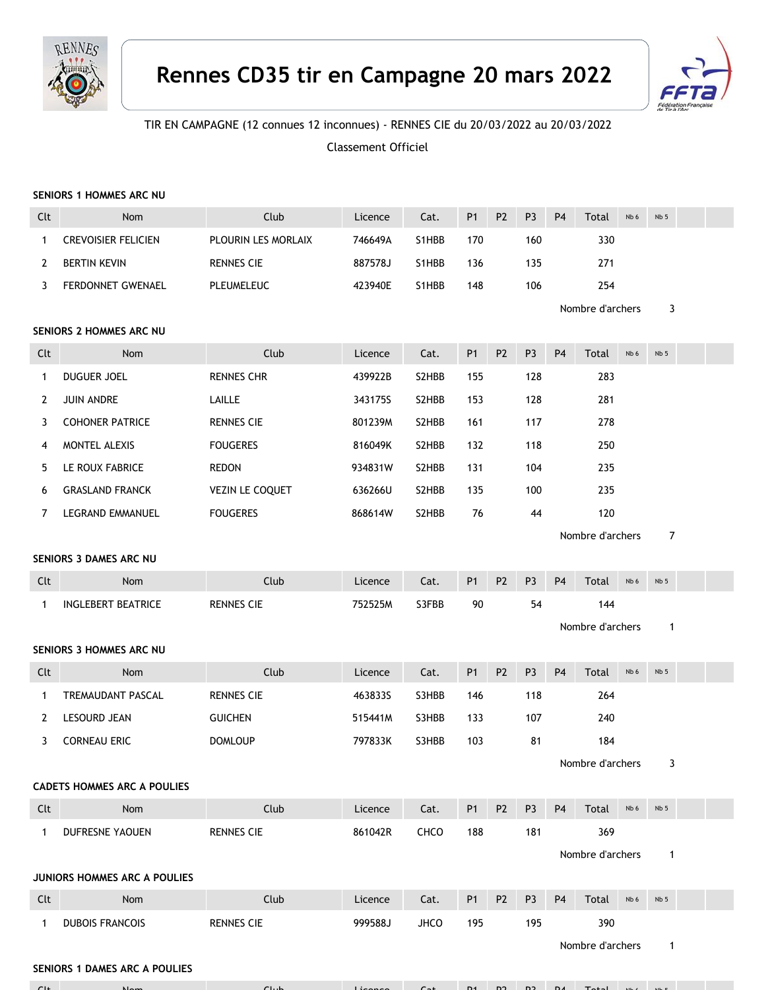

## **Rennes CD35 tir en Campagne 20 mars 2022**



## TIR EN CAMPAGNE (12 connues 12 inconnues) - RENNES CIE du 20/03/2022 au 20/03/2022

Classement Officiel

## **SENIORS 1 HOMMES ARC NU**

| Clt                           | Nom                                | Club                   | Licence | Cat.        | P <sub>1</sub> | P <sub>2</sub> | P <sub>3</sub> | P <sub>4</sub> | Total            | Nb 6 | Nb <sub>5</sub> |  |
|-------------------------------|------------------------------------|------------------------|---------|-------------|----------------|----------------|----------------|----------------|------------------|------|-----------------|--|
| 1                             | <b>CREVOISIER FELICIEN</b>         | PLOURIN LES MORLAIX    | 746649A | S1HBB       | 170            |                | 160            |                | 330              |      |                 |  |
| 2                             | <b>BERTIN KEVIN</b>                | <b>RENNES CIE</b>      | 887578J | S1HBB       | 136            |                | 135            |                | 271              |      |                 |  |
| 3                             | <b>FERDONNET GWENAEL</b>           | PLEUMELEUC             | 423940E | S1HBB       | 148            |                | 106            |                | 254              |      |                 |  |
|                               |                                    |                        |         |             |                |                |                |                | Nombre d'archers |      | 3               |  |
| SENIORS 2 HOMMES ARC NU       |                                    |                        |         |             |                |                |                |                |                  |      |                 |  |
| Clt                           | Nom                                | Club                   | Licence | Cat.        | P <sub>1</sub> | P <sub>2</sub> | P <sub>3</sub> | P <sub>4</sub> | Total            | Nb 6 | Nb <sub>5</sub> |  |
| $\mathbf{1}$                  | DUGUER JOEL                        | <b>RENNES CHR</b>      | 439922B | S2HBB       | 155            |                | 128            |                | 283              |      |                 |  |
| 2                             | <b>JUIN ANDRE</b>                  | LAILLE                 | 343175S | S2HBB       | 153            |                | 128            |                | 281              |      |                 |  |
| 3                             | <b>COHONER PATRICE</b>             | <b>RENNES CIE</b>      | 801239M | S2HBB       | 161            |                | 117            |                | 278              |      |                 |  |
| 4                             | MONTEL ALEXIS                      | <b>FOUGERES</b>        | 816049K | S2HBB       | 132            |                | 118            |                | 250              |      |                 |  |
| 5                             | LE ROUX FABRICE                    | REDON                  | 934831W | S2HBB       | 131            |                | 104            |                | 235              |      |                 |  |
| 6                             | <b>GRASLAND FRANCK</b>             | <b>VEZIN LE COQUET</b> | 636266U | S2HBB       | 135            |                | 100            |                | 235              |      |                 |  |
| 7                             | LEGRAND EMMANUEL                   | <b>FOUGERES</b>        | 868614W | S2HBB       | 76             |                | 44             |                | 120              |      |                 |  |
|                               |                                    |                        |         |             |                |                |                |                | Nombre d'archers |      | 7               |  |
|                               | SENIORS 3 DAMES ARC NU             |                        |         |             |                |                |                |                |                  |      |                 |  |
| Clt                           | Nom                                | Club                   | Licence | Cat.        | <b>P1</b>      | P <sub>2</sub> | P <sub>3</sub> | <b>P4</b>      | Total            | Nb 6 | Nb <sub>5</sub> |  |
| $\mathbf{1}$                  | <b>INGLEBERT BEATRICE</b>          | <b>RENNES CIE</b>      | 752525M | S3FBB       | 90             |                | 54             |                | 144              |      |                 |  |
|                               |                                    |                        |         |             |                |                |                |                | Nombre d'archers |      | 1               |  |
|                               | SENIORS 3 HOMMES ARC NU            |                        |         |             |                |                |                |                |                  |      |                 |  |
| Clt                           | Nom                                | Club                   | Licence | Cat.        | <b>P1</b>      | <b>P2</b>      | P <sub>3</sub> | P <sub>4</sub> | Total            | Nb 6 | Nb 5            |  |
| 1                             | TREMAUDANT PASCAL                  | <b>RENNES CIE</b>      | 463833S | S3HBB       | 146            |                | 118            |                | 264              |      |                 |  |
| 2                             | LESOURD JEAN                       | <b>GUICHEN</b>         | 515441M | S3HBB       | 133            |                | 107            |                | 240              |      |                 |  |
| 3                             | <b>CORNEAU ERIC</b>                | <b>DOMLOUP</b>         | 797833K | S3HBB       | 103            |                | 81             |                | 184              |      |                 |  |
|                               |                                    |                        |         |             |                |                |                |                | Nombre d'archers |      | 3               |  |
|                               | <b>CADETS HOMMES ARC A POULIES</b> |                        |         |             |                |                |                |                |                  |      |                 |  |
| Clt                           | Nom                                | Club                   | Licence | Cat.        | P <sub>1</sub> | P <sub>2</sub> | P <sub>3</sub> | P <sub>4</sub> | Total            | Nb 6 | Nb 5            |  |
| $\mathbf{1}$                  | <b>DUFRESNE YAOUEN</b>             | <b>RENNES CIE</b>      | 861042R | CHCO        | 188            |                | 181            |                | 369              |      |                 |  |
|                               |                                    |                        |         |             |                |                |                |                | Nombre d'archers |      | 1               |  |
| JUNIORS HOMMES ARC A POULIES  |                                    |                        |         |             |                |                |                |                |                  |      |                 |  |
| Clt                           | Nom                                | Club                   | Licence | Cat.        | P <sub>1</sub> | P <sub>2</sub> | P <sub>3</sub> | P <sub>4</sub> | Total            | Nb 6 | Nb <sub>5</sub> |  |
| 1                             | <b>DUBOIS FRANCOIS</b>             | <b>RENNES CIE</b>      | 999588J | <b>JHCO</b> | 195            |                | 195            |                | 390              |      |                 |  |
|                               |                                    |                        |         |             |                |                |                |                | Nombre d'archers |      | $\mathbf{1}$    |  |
| SENIORS 1 DAMES ARC A POULIES |                                    |                        |         |             |                |                |                |                |                  |      |                 |  |

Clt Nom Club Licence Cat. P1 P2 P3 P4 Total Nb 6 Nb 5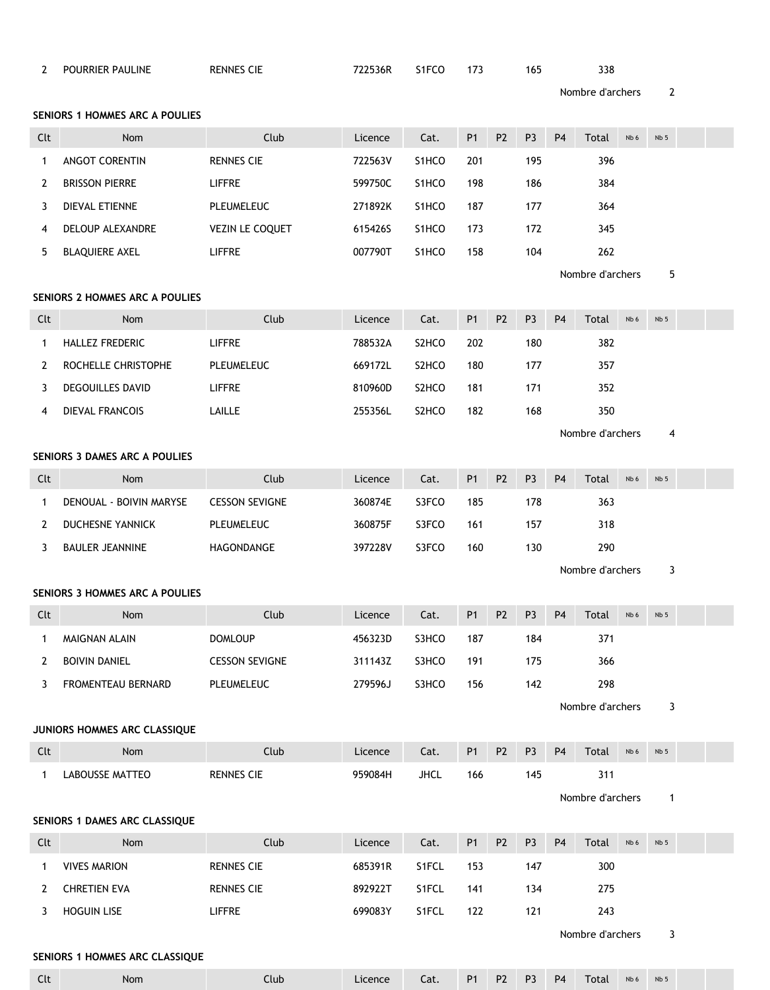| 2                              | POURRIER PAULINE               | <b>RENNES CIE</b>      | 722536R | S1FCO              | 173            |                | 165            | 338              |                  |      |                 |  |
|--------------------------------|--------------------------------|------------------------|---------|--------------------|----------------|----------------|----------------|------------------|------------------|------|-----------------|--|
|                                |                                |                        |         |                    |                |                |                | Nombre d'archers |                  |      | 2               |  |
| SENIORS 1 HOMMES ARC A POULIES |                                |                        |         |                    |                |                |                |                  |                  |      |                 |  |
| Clt                            | Nom                            | Club                   | Licence | Cat.               | <b>P1</b>      | P <sub>2</sub> | P <sub>3</sub> | P <sub>4</sub>   | Total            | Nb 6 | Nb <sub>5</sub> |  |
| 1                              | ANGOT CORENTIN                 | <b>RENNES CIE</b>      | 722563V | S1HCO              | 201            |                | 195            |                  | 396              |      |                 |  |
| 2                              | <b>BRISSON PIERRE</b>          | LIFFRE                 | 599750C | S <sub>1</sub> HCO | 198            |                | 186            |                  | 384              |      |                 |  |
| 3                              | <b>DIEVAL ETIENNE</b>          | PLEUMELEUC             | 271892K | S1HCO              | 187            |                | 177            |                  | 364              |      |                 |  |
| 4                              | <b>DELOUP ALEXANDRE</b>        | <b>VEZIN LE COQUET</b> | 615426S | S1HCO              | 173            |                | 172            |                  | 345              |      |                 |  |
| 5                              | <b>BLAQUIERE AXEL</b>          | LIFFRE                 | 007790T | S1HCO              | 158            |                | 104            |                  | 262              |      |                 |  |
|                                |                                |                        |         |                    |                |                |                |                  | Nombre d'archers | 5    |                 |  |
| SENIORS 2 HOMMES ARC A POULIES |                                |                        |         |                    |                |                |                |                  |                  |      |                 |  |
| Clt                            | Nom                            | Club                   | Licence | Cat.               | P <sub>1</sub> | P <sub>2</sub> | P <sub>3</sub> | P <sub>4</sub>   | Total            | Nb 6 | Nb <sub>5</sub> |  |
| 1                              | HALLEZ FREDERIC                | <b>LIFFRE</b>          | 788532A | S2HCO              | 202            |                | 180            |                  | 382              |      |                 |  |
| 2                              | ROCHELLE CHRISTOPHE            | PLEUMELEUC             | 669172L | S2HCO              | 180            |                | 177            |                  | 357              |      |                 |  |
| 3                              | DEGOUILLES DAVID               | LIFFRE                 | 810960D | S <sub>2</sub> HCO | 181            |                | 171            |                  | 352              |      |                 |  |
| 4                              | DIEVAL FRANCOIS                | LAILLE                 | 255356L | S2HCO              | 182            |                | 168            |                  | 350              |      |                 |  |
|                                |                                |                        |         |                    |                |                |                | Nombre d'archers |                  |      | 4               |  |
| SENIORS 3 DAMES ARC A POULIES  |                                |                        |         |                    |                |                |                |                  |                  |      |                 |  |
| Clt                            | Nom                            | Club                   | Licence | Cat.               | <b>P1</b>      | P <sub>2</sub> | P <sub>3</sub> | P <sub>4</sub>   | Total            | Nb 6 | Nb <sub>5</sub> |  |
| $\mathbf{1}$                   | DENOUAL - BOIVIN MARYSE        | <b>CESSON SEVIGNE</b>  | 360874E | S3FCO              | 185            |                | 178            |                  | 363              |      |                 |  |
| 2                              | DUCHESNE YANNICK               | PLEUMELEUC             | 360875F | S3FCO              | 161            |                | 157            |                  | 318              |      |                 |  |
| 3                              | <b>BAULER JEANNINE</b>         | HAGONDANGE             | 397228V | S3FCO              | 160            |                | 130            |                  | 290              |      |                 |  |
|                                |                                |                        |         |                    |                |                |                |                  | Nombre d'archers | 3    |                 |  |
|                                | SENIORS 3 HOMMES ARC A POULIES |                        |         |                    |                |                |                |                  |                  |      |                 |  |
| Clt                            | Nom                            | Club                   | Licence | Cat.               | <b>P1</b>      | P <sub>2</sub> | P <sub>3</sub> | P <sub>4</sub>   | Total            | Nb 6 | Nb <sub>5</sub> |  |
| 1                              | MAIGNAN ALAIN                  | <b>DOMLOUP</b>         | 456323D | S3HCO              | 187            |                | 184            |                  | 371              |      |                 |  |
| 2                              | <b>BOIVIN DANIEL</b>           | <b>CESSON SEVIGNE</b>  | 311143Z | S3HCO              | 191            |                | 175            |                  | 366              |      |                 |  |
| 3                              | FROMENTEAU BERNARD             | PLEUMELEUC             | 279596J | S3HCO              | 156            |                | 142            |                  | 298              |      |                 |  |
|                                |                                |                        |         |                    |                |                |                | Nombre d'archers |                  |      | 3               |  |
| JUNIORS HOMMES ARC CLASSIQUE   |                                |                        |         |                    |                |                |                |                  |                  |      |                 |  |
| Clt                            | Nom                            | Club                   | Licence | Cat.               | <b>P1</b>      | P <sub>2</sub> | P <sub>3</sub> | P <sub>4</sub>   | Total            | Nb 6 | Nb <sub>5</sub> |  |
| $\mathbf{1}$                   | <b>LABOUSSE MATTEO</b>         | <b>RENNES CIE</b>      | 959084H | <b>JHCL</b>        | 166            |                | 145            |                  | 311              |      |                 |  |
|                                |                                |                        |         |                    |                |                |                |                  | Nombre d'archers |      | 1               |  |
|                                | SENIORS 1 DAMES ARC CLASSIQUE  |                        |         |                    |                |                |                |                  |                  |      |                 |  |
| Clt                            | Nom                            | Club                   | Licence | Cat.               | P <sub>1</sub> | P <sub>2</sub> | P <sub>3</sub> | P <sub>4</sub>   | Total            | Nb 6 | Nb <sub>5</sub> |  |
| 1                              | <b>VIVES MARION</b>            | <b>RENNES CIE</b>      | 685391R | S1FCL              | 153            |                | 147            |                  | 300              |      |                 |  |
| 2                              | <b>CHRETIEN EVA</b>            | <b>RENNES CIE</b>      | 892922T | S1FCL              | 141            |                | 134            |                  | 275              |      |                 |  |
| 3                              | <b>HOGUIN LISE</b>             | <b>LIFFRE</b>          | 699083Y | S1FCL              | 122            |                | 121            |                  | 243              |      |                 |  |
|                                |                                |                        |         |                    |                |                |                |                  | Nombre d'archers | 3    |                 |  |
|                                | SENIORS 1 HOMMES ARC CLASSIQUE |                        |         |                    |                |                |                |                  |                  |      |                 |  |
| Clt                            | Nom                            | Club                   | Licence | Cat.               | P <sub>1</sub> | P <sub>2</sub> | P <sub>3</sub> | P <sub>4</sub>   | <b>Total</b>     | Nb 6 | Nb <sub>5</sub> |  |